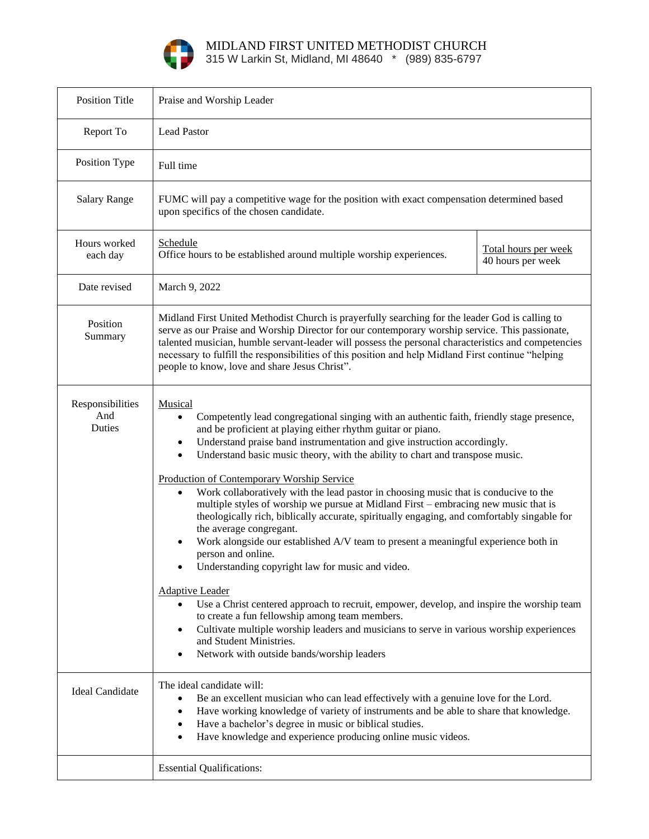

MIDLAND FIRST UNITED METHODIST CHURCH

315 W Larkin St, Midland, MI 48640 \* (989) 835-6797

| <b>Position Title</b>             | Praise and Worship Leader                                                                                                                                                                                                                                                                                                                                                                                                                                                                                                                                                                                                                                                                                                                                                                                                                                                                                                                                                                                                                                                                                                                                                                                                                                                                |                                           |
|-----------------------------------|------------------------------------------------------------------------------------------------------------------------------------------------------------------------------------------------------------------------------------------------------------------------------------------------------------------------------------------------------------------------------------------------------------------------------------------------------------------------------------------------------------------------------------------------------------------------------------------------------------------------------------------------------------------------------------------------------------------------------------------------------------------------------------------------------------------------------------------------------------------------------------------------------------------------------------------------------------------------------------------------------------------------------------------------------------------------------------------------------------------------------------------------------------------------------------------------------------------------------------------------------------------------------------------|-------------------------------------------|
| Report To                         | <b>Lead Pastor</b>                                                                                                                                                                                                                                                                                                                                                                                                                                                                                                                                                                                                                                                                                                                                                                                                                                                                                                                                                                                                                                                                                                                                                                                                                                                                       |                                           |
| Position Type                     | Full time                                                                                                                                                                                                                                                                                                                                                                                                                                                                                                                                                                                                                                                                                                                                                                                                                                                                                                                                                                                                                                                                                                                                                                                                                                                                                |                                           |
| <b>Salary Range</b>               | FUMC will pay a competitive wage for the position with exact compensation determined based<br>upon specifics of the chosen candidate.                                                                                                                                                                                                                                                                                                                                                                                                                                                                                                                                                                                                                                                                                                                                                                                                                                                                                                                                                                                                                                                                                                                                                    |                                           |
| Hours worked<br>each day          | Schedule<br>Office hours to be established around multiple worship experiences.                                                                                                                                                                                                                                                                                                                                                                                                                                                                                                                                                                                                                                                                                                                                                                                                                                                                                                                                                                                                                                                                                                                                                                                                          | Total hours per week<br>40 hours per week |
| Date revised                      | March 9, 2022                                                                                                                                                                                                                                                                                                                                                                                                                                                                                                                                                                                                                                                                                                                                                                                                                                                                                                                                                                                                                                                                                                                                                                                                                                                                            |                                           |
| Position<br>Summary               | Midland First United Methodist Church is prayerfully searching for the leader God is calling to<br>serve as our Praise and Worship Director for our contemporary worship service. This passionate,<br>talented musician, humble servant-leader will possess the personal characteristics and competencies<br>necessary to fulfill the responsibilities of this position and help Midland First continue "helping<br>people to know, love and share Jesus Christ".                                                                                                                                                                                                                                                                                                                                                                                                                                                                                                                                                                                                                                                                                                                                                                                                                        |                                           |
| Responsibilities<br>And<br>Duties | Musical<br>Competently lead congregational singing with an authentic faith, friendly stage presence,<br>$\bullet$<br>and be proficient at playing either rhythm guitar or piano.<br>Understand praise band instrumentation and give instruction accordingly.<br>$\bullet$<br>Understand basic music theory, with the ability to chart and transpose music.<br>$\bullet$<br>Production of Contemporary Worship Service<br>Work collaboratively with the lead pastor in choosing music that is conducive to the<br>$\bullet$<br>multiple styles of worship we pursue at Midland First - embracing new music that is<br>theologically rich, biblically accurate, spiritually engaging, and comfortably singable for<br>the average congregant.<br>Work alongside our established A/V team to present a meaningful experience both in<br>person and online.<br>Understanding copyright law for music and video.<br><b>Adaptive Leader</b><br>Use a Christ centered approach to recruit, empower, develop, and inspire the worship team<br>$\bullet$<br>to create a fun fellowship among team members.<br>Cultivate multiple worship leaders and musicians to serve in various worship experiences<br>$\bullet$<br>and Student Ministries.<br>Network with outside bands/worship leaders<br>٠ |                                           |
| <b>Ideal Candidate</b>            | The ideal candidate will:<br>Be an excellent musician who can lead effectively with a genuine love for the Lord.<br>$\bullet$<br>Have working knowledge of variety of instruments and be able to share that knowledge.<br>٠<br>Have a bachelor's degree in music or biblical studies.<br>$\bullet$<br>Have knowledge and experience producing online music videos.<br>$\bullet$                                                                                                                                                                                                                                                                                                                                                                                                                                                                                                                                                                                                                                                                                                                                                                                                                                                                                                          |                                           |
|                                   | <b>Essential Qualifications:</b>                                                                                                                                                                                                                                                                                                                                                                                                                                                                                                                                                                                                                                                                                                                                                                                                                                                                                                                                                                                                                                                                                                                                                                                                                                                         |                                           |